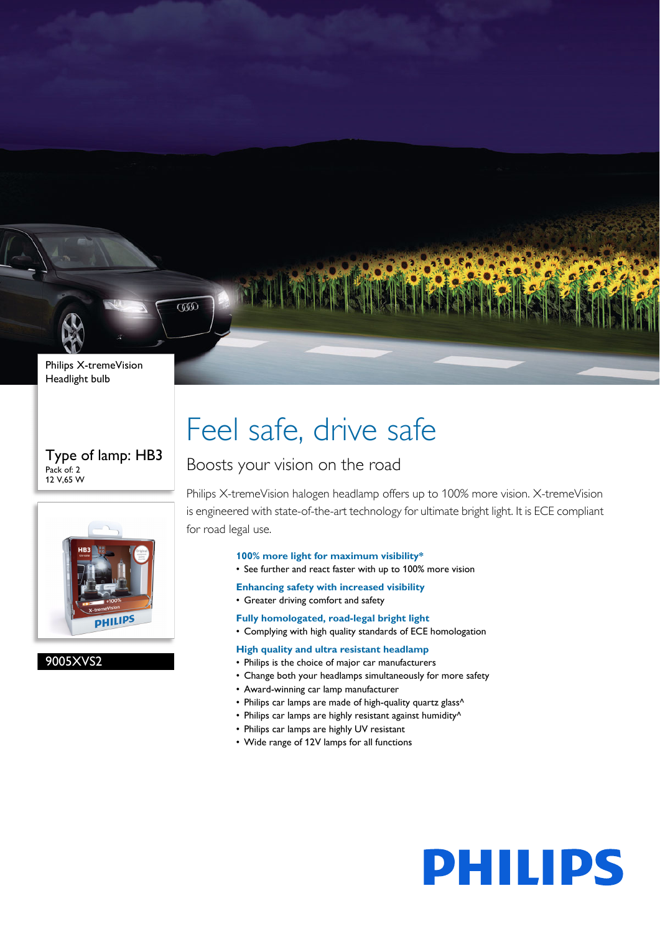

 $\overline{\text{CD}}$ 

#### Type of lamp: HB3 Pack of: 2 12 V,65 W



### 9005XVS2

# Feel safe, drive safe

### Boosts your vision on the road

Philips X-tremeVision halogen headlamp offers up to 100% more vision. X-tremeVision is engineered with state-of-the-art technology for ultimate bright light. It is ECE compliant for road legal use.

#### **100% more light for maximum visibility\***

- See further and react faster with up to 100% more vision
- **Enhancing safety with increased visibility**
- Greater driving comfort and safety
- **Fully homologated, road-legal bright light**
- Complying with high quality standards of ECE homologation

#### **High quality and ultra resistant headlamp**

- Philips is the choice of major car manufacturers
- Change both your headlamps simultaneously for more safety
- Award-winning car lamp manufacturer
- Philips car lamps are made of high-quality quartz glass^
- Philips car lamps are highly resistant against humidity^
- Philips car lamps are highly UV resistant
- Wide range of 12V lamps for all functions

# **PHILIPS**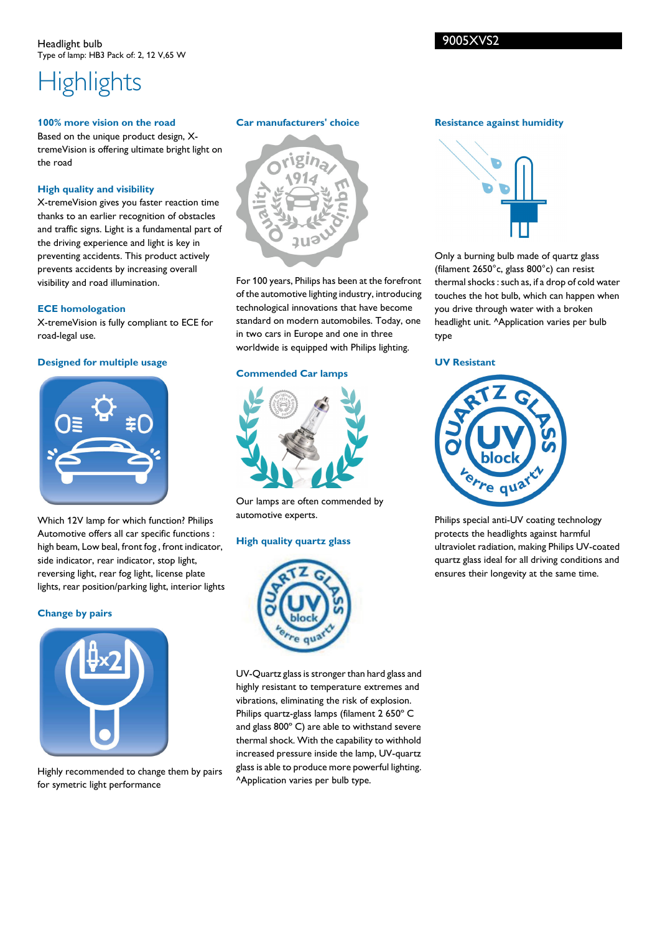# **Highlights**

#### **100% more vision on the road**

Based on the unique product design, XtremeVision is offering ultimate bright light on the road

#### **High quality and visibility**

X-tremeVision gives you faster reaction time thanks to an earlier recognition of obstacles and traffic signs. Light is a fundamental part of the driving experience and light is key in preventing accidents. This product actively prevents accidents by increasing overall visibility and road illumination.

#### **ECE homologation**

X-tremeVision is fully compliant to ECE for road-legal use.

#### **Designed for multiple usage**



Which 12V lamp for which function? Philips Automotive offers all car specific functions : high beam, Low beal, front fog , front indicator, side indicator, rear indicator, stop light, reversing light, rear fog light, license plate lights, rear position/parking light, interior lights

#### **Change by pairs**



Highly recommended to change them by pairs for symetric light performance

#### **Car manufacturers' choice**



For 100 years, Philips has been at the forefront of the automotive lighting industry, introducing technological innovations that have become standard on modern automobiles. Today, one in two cars in Europe and one in three worldwide is equipped with Philips lighting.

#### **Commended Car lamps**



Our lamps are often commended by automotive experts.

#### **High quality quartz glass**



UV-Quartz glass is stronger than hard glass and highly resistant to temperature extremes and vibrations, eliminating the risk of explosion. Philips quartz-glass lamps (filament 2 650º C and glass 800º C) are able to withstand severe thermal shock. With the capability to withhold increased pressure inside the lamp, UV-quartz glass is able to produce more powerful lighting. ^Application varies per bulb type.

#### **Resistance against humidity**



Only a burning bulb made of quartz glass (filament 2650°c, glass 800°c) can resist thermal shocks : such as, if a drop of cold water touches the hot bulb, which can happen when you drive through water with a broken headlight unit. ^Application varies per bulb type

#### **UV Resistant**



Philips special anti-UV coating technology protects the headlights against harmful ultraviolet radiation, making Philips UV-coated quartz glass ideal for all driving conditions and ensures their longevity at the same time.